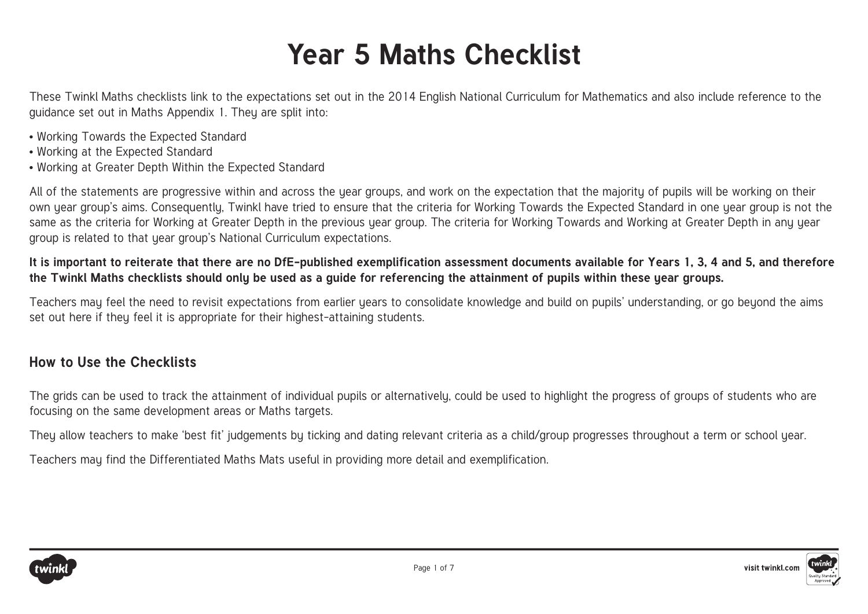## **Year 5 Maths Checklist**

These Twinkl Maths checklists link to the expectations set out in the 2014 English National Curriculum for Mathematics and also include reference to the guidance set out in Maths Appendix 1. They are split into:

- Working Towards the Expected Standard
- Working at the Expected Standard
- Working at Greater Depth Within the Expected Standard

All of the statements are progressive within and across the year groups, and work on the expectation that the majority of pupils will be working on their own uear group's aims. Consequently, Twinkl have tried to ensure that the criteria for Working Towards the Expected Standard in one year group is not the same as the criteria for Working at Greater Depth in the previous year group. The criteria for Working Towards and Working at Greater Depth in any year group is related to that year group's National Curriculum expectations.

## **It is important to reiterate that there are no DfE-published exemplification assessment documents available for Years 1, 3, 4 and 5, and therefore the Twinkl Maths checklists should only be used as a guide for referencing the attainment of pupils within these year groups.**

Teachers may feel the need to revisit expectations from earlier years to consolidate knowledge and build on pupils' understanding, or go beyond the aims set out here if they feel it is appropriate for their highest-attaining students.

## **How to Use the Checklists**

The grids can be used to track the attainment of individual pupils or alternatively, could be used to highlight the progress of groups of students who are focusing on the same development areas or Maths targets.

They allow teachers to make 'best fit' judgements by ticking and dating relevant criteria as a child/group progresses throughout a term or school year.

Teachers may find the Differentiated Maths Mats useful in providing more detail and exemplification.

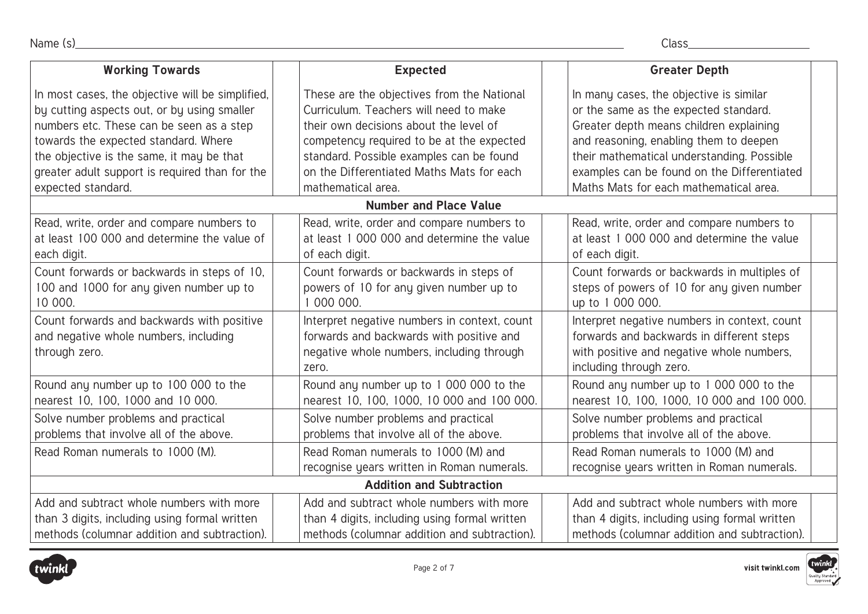| <b>Working Towards</b>                                                                               | <b>Expected</b>                                                                                                                                | <b>Greater Depth</b>                                                                                                                                              |  |
|------------------------------------------------------------------------------------------------------|------------------------------------------------------------------------------------------------------------------------------------------------|-------------------------------------------------------------------------------------------------------------------------------------------------------------------|--|
| In most cases, the objective will be simplified,                                                     | These are the objectives from the National                                                                                                     | In many cases, the objective is similar                                                                                                                           |  |
| by cutting aspects out, or by using smaller                                                          | Curriculum. Teachers will need to make                                                                                                         | or the same as the expected standard.                                                                                                                             |  |
| numbers etc. These can be seen as a step                                                             | their own decisions about the level of                                                                                                         | Greater depth means children explaining                                                                                                                           |  |
| towards the expected standard. Where                                                                 | competency required to be at the expected                                                                                                      | and reasoning, enabling them to deepen                                                                                                                            |  |
| the objective is the same, it may be that                                                            | standard. Possible examples can be found                                                                                                       | their mathematical understanding. Possible                                                                                                                        |  |
| greater adult support is required than for the                                                       | on the Differentiated Maths Mats for each                                                                                                      | examples can be found on the Differentiated                                                                                                                       |  |
| expected standard.                                                                                   | mathematical area.                                                                                                                             | Maths Mats for each mathematical area.                                                                                                                            |  |
|                                                                                                      | <b>Number and Place Value</b>                                                                                                                  |                                                                                                                                                                   |  |
| Read, write, order and compare numbers to                                                            | Read, write, order and compare numbers to                                                                                                      | Read, write, order and compare numbers to                                                                                                                         |  |
| at least 100 000 and determine the value of                                                          | at least 1 000 000 and determine the value                                                                                                     | at least 1 000 000 and determine the value                                                                                                                        |  |
| each digit.                                                                                          | of each digit.                                                                                                                                 | of each digit.                                                                                                                                                    |  |
| Count forwards or backwards in steps of 10,                                                          | Count forwards or backwards in steps of                                                                                                        | Count forwards or backwards in multiples of                                                                                                                       |  |
| 100 and 1000 for any given number up to                                                              | powers of 10 for any given number up to                                                                                                        | steps of powers of 10 for any given number                                                                                                                        |  |
| 10 000.                                                                                              | 1 000 000.                                                                                                                                     | up to 1 000 000.                                                                                                                                                  |  |
| Count forwards and backwards with positive<br>and negative whole numbers, including<br>through zero. | Interpret negative numbers in context, count<br>forwards and backwards with positive and<br>negative whole numbers, including through<br>zero. | Interpret negative numbers in context, count<br>forwards and backwards in different steps<br>with positive and negative whole numbers,<br>including through zero. |  |
| Round any number up to 100 000 to the                                                                | Round any number up to 1 000 000 to the                                                                                                        | Round any number up to 1 000 000 to the                                                                                                                           |  |
| nearest 10, 100, 1000 and 10 000.                                                                    | nearest 10, 100, 1000, 10 000 and 100 000.                                                                                                     | nearest 10, 100, 1000, 10 000 and 100 000.                                                                                                                        |  |
| Solve number problems and practical                                                                  | Solve number problems and practical                                                                                                            | Solve number problems and practical                                                                                                                               |  |
| problems that involve all of the above.                                                              | problems that involve all of the above.                                                                                                        | problems that involve all of the above.                                                                                                                           |  |
| Read Roman numerals to 1000 (M).                                                                     | Read Roman numerals to 1000 (M) and<br>recognise years written in Roman numerals.                                                              | Read Roman numerals to 1000 (M) and<br>recognise years written in Roman numerals.                                                                                 |  |
| <b>Addition and Subtraction</b>                                                                      |                                                                                                                                                |                                                                                                                                                                   |  |
| Add and subtract whole numbers with more                                                             | Add and subtract whole numbers with more                                                                                                       | Add and subtract whole numbers with more                                                                                                                          |  |
| than 3 digits, including using formal written                                                        | than 4 digits, including using formal written                                                                                                  | than 4 digits, including using formal written                                                                                                                     |  |
| methods (columnar addition and subtraction).                                                         | methods (columnar addition and subtraction).                                                                                                   | methods (columnar addition and subtraction).                                                                                                                      |  |





twir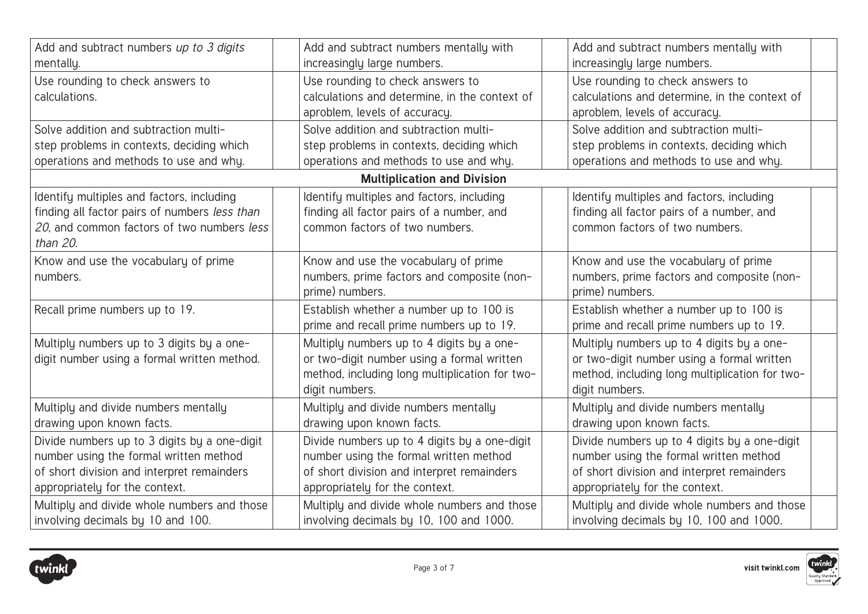| Add and subtract numbers up to 3 digits<br>mentally.                                                                                                                   | Add and subtract numbers mentally with<br>increasingly large numbers.                                                                                                  | Add and subtract numbers mentally with<br>increasingly large numbers.                                                                                                  |  |
|------------------------------------------------------------------------------------------------------------------------------------------------------------------------|------------------------------------------------------------------------------------------------------------------------------------------------------------------------|------------------------------------------------------------------------------------------------------------------------------------------------------------------------|--|
| Use rounding to check answers to<br>calculations.                                                                                                                      | Use rounding to check answers to<br>calculations and determine, in the context of<br>aproblem, levels of accuracy.                                                     | Use rounding to check answers to<br>calculations and determine, in the context of<br>aproblem, levels of accuracy.                                                     |  |
| Solve addition and subtraction multi-<br>step problems in contexts, deciding which<br>operations and methods to use and why.                                           | Solve addition and subtraction multi-<br>step problems in contexts, deciding which<br>operations and methods to use and why.                                           | Solve addition and subtraction multi-<br>step problems in contexts, deciding which<br>operations and methods to use and why.                                           |  |
|                                                                                                                                                                        | <b>Multiplication and Division</b>                                                                                                                                     |                                                                                                                                                                        |  |
| Identify multiples and factors, including<br>finding all factor pairs of numbers less than<br>20, and common factors of two numbers less<br>than 20.                   | Identify multiples and factors, including<br>finding all factor pairs of a number, and<br>common factors of two numbers.                                               | Identify multiples and factors, including<br>finding all factor pairs of a number, and<br>common factors of two numbers.                                               |  |
| Know and use the vocabulary of prime<br>numbers.                                                                                                                       | Know and use the vocabulary of prime<br>numbers, prime factors and composite (non-<br>prime) numbers.                                                                  | Know and use the vocabulary of prime<br>numbers, prime factors and composite (non-<br>prime) numbers.                                                                  |  |
| Recall prime numbers up to 19.                                                                                                                                         | Establish whether a number up to 100 is<br>prime and recall prime numbers up to 19.                                                                                    | Establish whether a number up to 100 is<br>prime and recall prime numbers up to 19.                                                                                    |  |
| Multiply numbers up to 3 digits by a one-<br>digit number using a formal written method.                                                                               | Multiply numbers up to 4 digits by a one-<br>or two-digit number using a formal written<br>method, including long multiplication for two-<br>digit numbers.            | Multiply numbers up to 4 digits by a one-<br>or two-digit number using a formal written<br>method, including long multiplication for two-<br>digit numbers.            |  |
| Multiply and divide numbers mentally<br>drawing upon known facts.                                                                                                      | Multiply and divide numbers mentally<br>drawing upon known facts.                                                                                                      | Multiply and divide numbers mentally<br>drawing upon known facts.                                                                                                      |  |
| Divide numbers up to 3 digits by a one-digit<br>number using the formal written method<br>of short division and interpret remainders<br>appropriately for the context. | Divide numbers up to 4 digits by a one-digit<br>number using the formal written method<br>of short division and interpret remainders<br>appropriately for the context. | Divide numbers up to 4 digits by a one-digit<br>number using the formal written method<br>of short division and interpret remainders<br>appropriately for the context. |  |
| Multiply and divide whole numbers and those<br>involving decimals by 10 and 100.                                                                                       | Multiply and divide whole numbers and those<br>involving decimals by 10, 100 and 1000.                                                                                 | Multiply and divide whole numbers and those<br>involving decimals by 10, 100 and 1000.                                                                                 |  |





twinl

uality Stan<br>Approved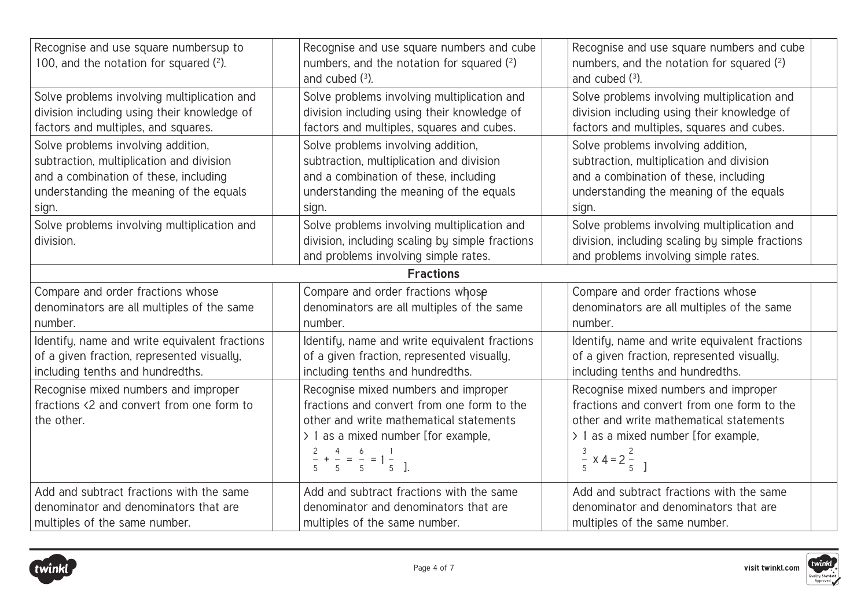| Recognise and use square numbersup to<br>100, and the notation for squared $(2)$ .              | Recognise and use square numbers and cube<br>numbers, and the notation for squared (2)<br>and cubed $(3)$ .                                                                                                                                               | Recognise and use square numbers and cube<br>numbers, and the notation for squared (2)<br>and cubed $(3)$ .                                                                                                        |
|-------------------------------------------------------------------------------------------------|-----------------------------------------------------------------------------------------------------------------------------------------------------------------------------------------------------------------------------------------------------------|--------------------------------------------------------------------------------------------------------------------------------------------------------------------------------------------------------------------|
| Solve problems involving multiplication and                                                     | Solve problems involving multiplication and                                                                                                                                                                                                               | Solve problems involving multiplication and                                                                                                                                                                        |
| division including using their knowledge of                                                     | division including using their knowledge of                                                                                                                                                                                                               | division including using their knowledge of                                                                                                                                                                        |
| factors and multiples, and squares.                                                             | factors and multiples, squares and cubes.                                                                                                                                                                                                                 | factors and multiples, squares and cubes.                                                                                                                                                                          |
| Solve problems involving addition,                                                              | Solve problems involving addition,                                                                                                                                                                                                                        | Solve problems involving addition,                                                                                                                                                                                 |
| subtraction, multiplication and division                                                        | subtraction, multiplication and division                                                                                                                                                                                                                  | subtraction, multiplication and division                                                                                                                                                                           |
| and a combination of these, including                                                           | and a combination of these, including                                                                                                                                                                                                                     | and a combination of these, including                                                                                                                                                                              |
| understanding the meaning of the equals                                                         | understanding the meaning of the equals                                                                                                                                                                                                                   | understanding the meaning of the equals                                                                                                                                                                            |
| sign.                                                                                           | sign.                                                                                                                                                                                                                                                     | sign.                                                                                                                                                                                                              |
| Solve problems involving multiplication and<br>division.                                        | Solve problems involving multiplication and<br>division, including scaling by simple fractions<br>and problems involving simple rates.                                                                                                                    | Solve problems involving multiplication and<br>division, including scaling by simple fractions<br>and problems involving simple rates.                                                                             |
|                                                                                                 | <b>Fractions</b>                                                                                                                                                                                                                                          |                                                                                                                                                                                                                    |
| Compare and order fractions whose                                                               | Compare and order fractions whose                                                                                                                                                                                                                         | Compare and order fractions whose                                                                                                                                                                                  |
| denominators are all multiples of the same                                                      | denominators are all multiples of the same                                                                                                                                                                                                                | denominators are all multiples of the same                                                                                                                                                                         |
| number.                                                                                         | number.                                                                                                                                                                                                                                                   | number.                                                                                                                                                                                                            |
| Identify, name and write equivalent fractions                                                   | Identify, name and write equivalent fractions                                                                                                                                                                                                             | Identify, name and write equivalent fractions                                                                                                                                                                      |
| of a given fraction, represented visually,                                                      | of a given fraction, represented visually,                                                                                                                                                                                                                | of a given fraction, represented visually,                                                                                                                                                                         |
| including tenths and hundredths.                                                                | including tenths and hundredths.                                                                                                                                                                                                                          | including tenths and hundredths.                                                                                                                                                                                   |
| Recognise mixed numbers and improper<br>fractions <2 and convert from one form to<br>the other. | Recognise mixed numbers and improper<br>fractions and convert from one form to the<br>other and write mathematical statements<br>> 1 as a mixed number [for example,<br>$\frac{2}{-}$ + $\frac{4}{-}$ = $\frac{6}{-}$ = 1 $\frac{1}{-}$<br>5 5 5 5 1 5 1. | Recognise mixed numbers and improper<br>fractions and convert from one form to the<br>other and write mathematical statements<br>> 1 as a mixed number [for example,<br>3<br>$\frac{5}{5}$ x 4 = 2 $\frac{2}{5}$ ] |
| Add and subtract fractions with the same                                                        | Add and subtract fractions with the same                                                                                                                                                                                                                  | Add and subtract fractions with the same                                                                                                                                                                           |
| denominator and denominators that are                                                           | denominator and denominators that are                                                                                                                                                                                                                     | denominator and denominators that are                                                                                                                                                                              |
| multiples of the same number.                                                                   | multiples of the same number.                                                                                                                                                                                                                             | multiples of the same number.                                                                                                                                                                                      |





twin uality Stan<br>Approved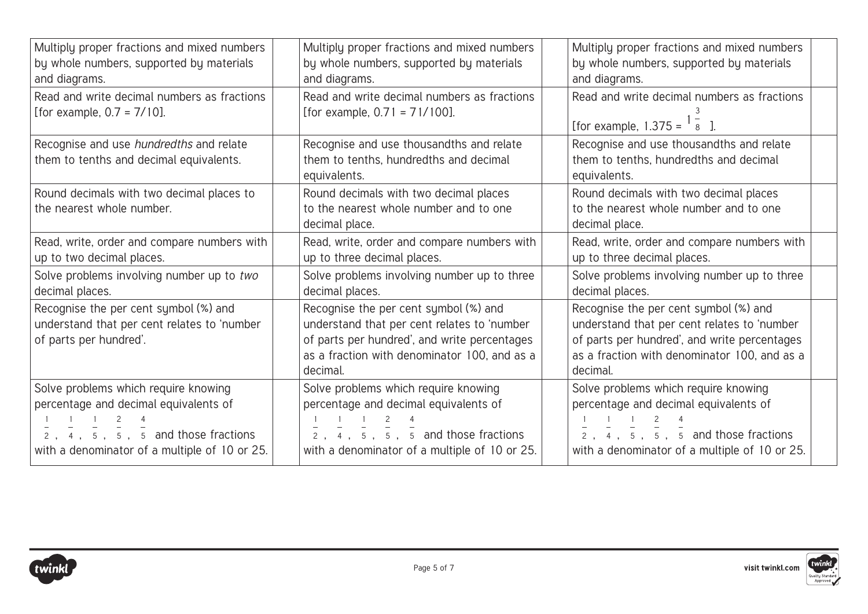| Multiply proper fractions and mixed numbers                                                                    | Multiply proper fractions and mixed numbers                                                                                                                                                      | Multiply proper fractions and mixed numbers                                                                                                                                                      |
|----------------------------------------------------------------------------------------------------------------|--------------------------------------------------------------------------------------------------------------------------------------------------------------------------------------------------|--------------------------------------------------------------------------------------------------------------------------------------------------------------------------------------------------|
| by whole numbers, supported by materials                                                                       | by whole numbers, supported by materials                                                                                                                                                         | by whole numbers, supported by materials                                                                                                                                                         |
| and diagrams.                                                                                                  | and diagrams.                                                                                                                                                                                    | and diagrams.                                                                                                                                                                                    |
| Read and write decimal numbers as fractions                                                                    | Read and write decimal numbers as fractions                                                                                                                                                      | Read and write decimal numbers as fractions                                                                                                                                                      |
| [for example, $0.7 = 7/10$ ].                                                                                  | [for example, $0.71 = 71/100$ ].                                                                                                                                                                 | [for example, $1.375 = \begin{bmatrix} 1 & 2 \\ 8 & 1 \end{bmatrix}$ ].                                                                                                                          |
| Recognise and use hundredths and relate<br>them to tenths and decimal equivalents.                             | Recognise and use thousandths and relate<br>them to tenths, hundredths and decimal<br>equivalents.                                                                                               | Recognise and use thousandths and relate<br>them to tenths, hundredths and decimal<br>equivalents.                                                                                               |
| Round decimals with two decimal places to<br>the nearest whole number.                                         | Round decimals with two decimal places<br>to the nearest whole number and to one<br>decimal place.                                                                                               | Round decimals with two decimal places<br>to the nearest whole number and to one<br>decimal place.                                                                                               |
| Read, write, order and compare numbers with                                                                    | Read, write, order and compare numbers with                                                                                                                                                      | Read, write, order and compare numbers with                                                                                                                                                      |
| up to two decimal places.                                                                                      | up to three decimal places.                                                                                                                                                                      | up to three decimal places.                                                                                                                                                                      |
| Solve problems involving number up to two                                                                      | Solve problems involving number up to three                                                                                                                                                      | Solve problems involving number up to three                                                                                                                                                      |
| decimal places.                                                                                                | decimal places.                                                                                                                                                                                  | decimal places.                                                                                                                                                                                  |
| Recognise the per cent symbol (%) and<br>understand that per cent relates to 'number<br>of parts per hundred'. | Recognise the per cent symbol (%) and<br>understand that per cent relates to 'number<br>of parts per hundred', and write percentages<br>as a fraction with denominator 100, and as a<br>decimal. | Recognise the per cent symbol (%) and<br>understand that per cent relates to 'number<br>of parts per hundred', and write percentages<br>as a fraction with denominator 100, and as a<br>decimal. |
| Solve problems which require knowing                                                                           | Solve problems which require knowing                                                                                                                                                             | Solve problems which require knowing                                                                                                                                                             |
| percentage and decimal equivalents of                                                                          | percentage and decimal equivalents of                                                                                                                                                            | percentage and decimal equivalents of                                                                                                                                                            |
| $\frac{1}{2}$ , $\frac{1}{4}$ , $\frac{1}{5}$ , $\frac{2}{5}$ , $\frac{4}{5}$ and those fractions              | $\frac{1}{2}$ , $\frac{1}{4}$ , $\frac{1}{5}$ , $\frac{2}{5}$ , $\frac{4}{5}$ and those fractions                                                                                                | $\frac{1}{2}$ , $\frac{1}{4}$ , $\frac{1}{5}$ , $\frac{2}{5}$ , $\frac{4}{5}$ and those fractions                                                                                                |
| with a denominator of a multiple of 10 or 25.                                                                  | with a denominator of a multiple of 10 or 25.                                                                                                                                                    | with a denominator of a multiple of 10 or 25.                                                                                                                                                    |

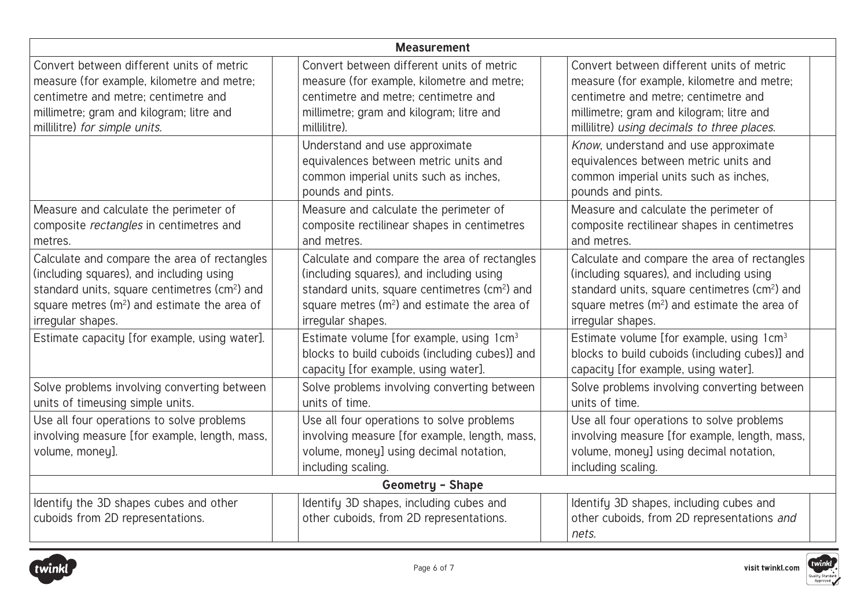| <b>Measurement</b>                                                                                                                                                                                                                     |                                                                                                                                                                                                                                        |                                                                                                                                                                                                                                        |  |
|----------------------------------------------------------------------------------------------------------------------------------------------------------------------------------------------------------------------------------------|----------------------------------------------------------------------------------------------------------------------------------------------------------------------------------------------------------------------------------------|----------------------------------------------------------------------------------------------------------------------------------------------------------------------------------------------------------------------------------------|--|
| Convert between different units of metric<br>measure (for example, kilometre and metre;<br>centimetre and metre; centimetre and<br>millimetre; gram and kilogram; litre and<br>millilitre) for simple units.                           | Convert between different units of metric<br>measure (for example, kilometre and metre;<br>centimetre and metre; centimetre and<br>millimetre; gram and kilogram; litre and<br>millilitre).                                            | Convert between different units of metric<br>measure (for example, kilometre and metre;<br>centimetre and metre; centimetre and<br>millimetre; gram and kilogram; litre and<br>millilitre) using decimals to three places.             |  |
|                                                                                                                                                                                                                                        | Understand and use approximate<br>equivalences between metric units and<br>common imperial units such as inches,<br>pounds and pints.                                                                                                  | Know, understand and use approximate<br>equivalences between metric units and<br>common imperial units such as inches,<br>pounds and pints.                                                                                            |  |
| Measure and calculate the perimeter of<br>composite rectangles in centimetres and<br>metres.                                                                                                                                           | Measure and calculate the perimeter of<br>composite rectilinear shapes in centimetres<br>and metres.                                                                                                                                   | Measure and calculate the perimeter of<br>composite rectilinear shapes in centimetres<br>and metres.                                                                                                                                   |  |
| Calculate and compare the area of rectangles<br>(including squares), and including using<br>standard units, square centimetres (cm <sup>2</sup> ) and<br>square metres (m <sup>2</sup> ) and estimate the area of<br>irregular shapes. | Calculate and compare the area of rectangles<br>(including squares), and including using<br>standard units, square centimetres (cm <sup>2</sup> ) and<br>square metres (m <sup>2</sup> ) and estimate the area of<br>irregular shapes. | Calculate and compare the area of rectangles<br>(including squares), and including using<br>standard units, square centimetres (cm <sup>2</sup> ) and<br>square metres (m <sup>2</sup> ) and estimate the area of<br>irregular shapes. |  |
| Estimate capacity [for example, using water].                                                                                                                                                                                          | Estimate volume [for example, using 1cm <sup>3</sup><br>blocks to build cuboids (including cubes)] and<br>capacity [for example, using water].                                                                                         | Estimate volume [for example, using 1cm <sup>3</sup><br>blocks to build cuboids (including cubes)] and<br>capacity [for example, using water].                                                                                         |  |
| Solve problems involving converting between<br>units of timeusing simple units.                                                                                                                                                        | Solve problems involving converting between<br>units of time.                                                                                                                                                                          | Solve problems involving converting between<br>units of time.                                                                                                                                                                          |  |
| Use all four operations to solve problems<br>involving measure [for example, length, mass,<br>volume, money].                                                                                                                          | Use all four operations to solve problems<br>involving measure [for example, length, mass,<br>volume, money] using decimal notation,<br>including scaling.                                                                             | Use all four operations to solve problems<br>involving measure [for example, length, mass,<br>volume, money] using decimal notation,<br>including scaling.                                                                             |  |
| <b>Geometry - Shape</b>                                                                                                                                                                                                                |                                                                                                                                                                                                                                        |                                                                                                                                                                                                                                        |  |
| Identify the 3D shapes cubes and other<br>cuboids from 2D representations.                                                                                                                                                             | Identify 3D shapes, including cubes and<br>other cuboids, from 2D representations.                                                                                                                                                     | Identify 3D shapes, including cubes and<br>other cuboids, from 2D representations and<br>nets.                                                                                                                                         |  |





twinl

uality Stan<br>Approved